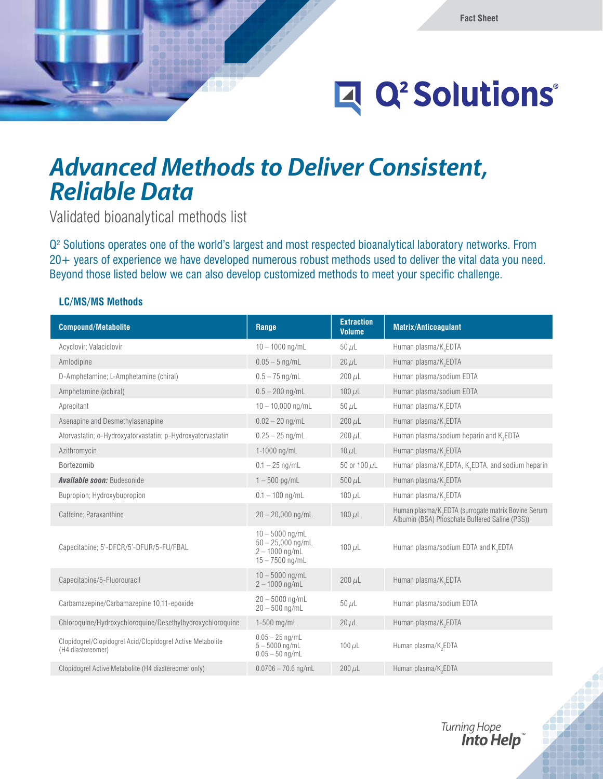# Q<sup>2</sup> Solutions®

## *Advanced Methods to Deliver Consistent, Reliable Data*

Validated bioanalytical methods list

Q2 Solutions operates one of the world's largest and most respected bioanalytical laboratory networks. From 20+ years of experience we have developed numerous robust methods used to deliver the vital data you need. Beyond those listed below we can also develop customized methods to meet your specific challenge.

#### **LC/MS/MS Methods**

| <b>Compound/Metabolite</b>                                                      | Range                                                                             | <b>Extraction</b><br><b>Volume</b> | <b>Matrix/Anticoagulant</b>                                                                                       |
|---------------------------------------------------------------------------------|-----------------------------------------------------------------------------------|------------------------------------|-------------------------------------------------------------------------------------------------------------------|
| Acyclovir; Valaciclovir                                                         | $10 - 1000$ ng/mL                                                                 | $50 \mu L$                         | Human plasma/K <sub>3</sub> EDTA                                                                                  |
| Amlodipine                                                                      | $0.05 - 5$ ng/mL                                                                  | $20 \mu L$                         | Human plasma/K <sub>2</sub> EDTA                                                                                  |
| D-Amphetamine; L-Amphetamine (chiral)                                           | $0.5 - 75$ ng/mL                                                                  | $200 \mu L$                        | Human plasma/sodium EDTA                                                                                          |
| Amphetamine (achiral)                                                           | $0.5 - 200$ ng/mL                                                                 | $100 \mu L$                        | Human plasma/sodium EDTA                                                                                          |
| Aprepitant                                                                      | $10 - 10,000$ ng/mL                                                               | $50 \mu L$                         | Human plasma/K <sub>2</sub> EDTA                                                                                  |
| Asenapine and Desmethylasenapine                                                | $0.02 - 20$ ng/mL                                                                 | $200 \mu L$                        | Human plasma/K <sub>2</sub> EDTA                                                                                  |
| Atorvastatin; o-Hydroxyatorvastatin; p-Hydroxyatorvastatin                      | $0.25 - 25$ ng/mL                                                                 | $200 \mu L$                        | Human plasma/sodium heparin and K <sub>2</sub> EDTA                                                               |
| Azithromycin                                                                    | 1-1000 ng/mL                                                                      | $10 \mu L$                         | Human plasma/K <sub>2</sub> EDTA                                                                                  |
| Bortezomib                                                                      | $0.1 - 25$ ng/mL                                                                  | 50 or 100 $\mu$ L                  | Human plasma/K <sub>2</sub> EDTA, K <sub>3</sub> EDTA, and sodium heparin                                         |
| <b>Available soon: Budesonide</b>                                               | $1 - 500$ pg/mL                                                                   | $500 \mu L$                        | Human plasma/K <sub>2</sub> EDTA                                                                                  |
| Bupropion; Hydroxybupropion                                                     | $0.1 - 100$ ng/mL                                                                 | 100 $\mu$ L                        | Human plasma/K <sub>2</sub> EDTA                                                                                  |
| Caffeine; Paraxanthine                                                          | $20 - 20,000$ ng/mL                                                               | $100 \mu L$                        | Human plasma/K <sub>2</sub> EDTA (surrogate matrix Bovine Serum<br>Albumin (BSA) Phosphate Buffered Saline (PBS)) |
| Capecitabine: 5'-DFCR/5'-DFUR/5-FU/FBAL                                         | $10 - 5000$ ng/mL<br>$50 - 25,000$ ng/mL<br>$2 - 1000$ ng/mL<br>$15 - 7500$ ng/mL | $100 \mu L$                        | Human plasma/sodium EDTA and K2EDTA                                                                               |
| Capecitabine/5-Fluorouracil                                                     | $10 - 5000$ ng/mL<br>$2 - 1000$ ng/mL                                             | $200 \mu L$                        | Human plasma/K <sub>3</sub> EDTA                                                                                  |
| Carbamazepine/Carbamazepine 10,11-epoxide                                       | $20 - 5000$ ng/mL<br>$20 - 500$ ng/mL                                             | $50 \mu L$                         | Human plasma/sodium EDTA                                                                                          |
| Chloroquine/Hydroxychloroquine/Desethylhydroxychloroquine                       | $1-500$ mg/mL                                                                     | $20 \mu L$                         | Human plasma/K <sub>2</sub> EDTA                                                                                  |
| Clopidogrel/Clopidogrel Acid/Clopidogrel Active Metabolite<br>(H4 diastereomer) | $0.05 - 25$ ng/mL<br>$5 - 5000$ ng/mL<br>$0.05 - 50$ ng/mL                        | $100 \mu L$                        | Human plasma/K <sub>2</sub> EDTA                                                                                  |
| Clopidogrel Active Metabolite (H4 diastereomer only)                            | $0.0706 - 70.6$ ng/mL                                                             | $200 \mu L$                        | Human plasma/K <sub>2</sub> EDTA                                                                                  |

Turning Hope **Into Help**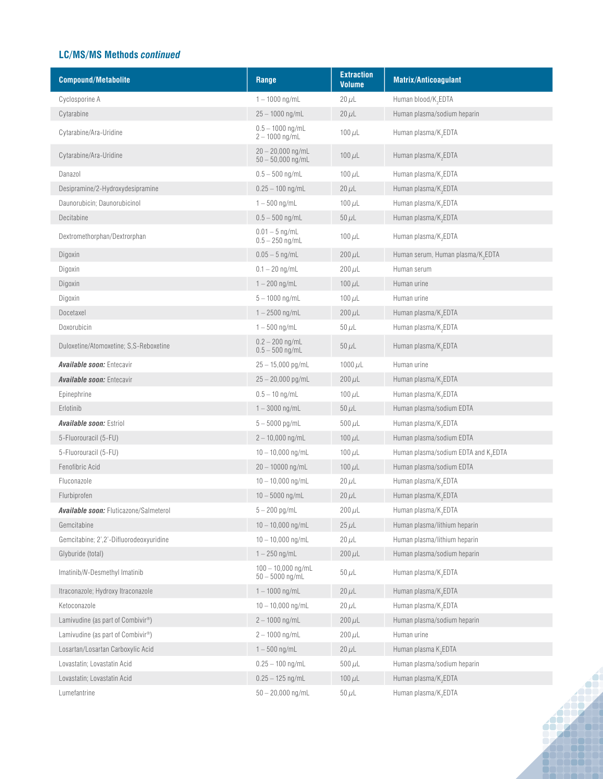#### **LC/MS/MS Methods** *continued*

| <b>Compound/Metabolite</b>                     | Range                                      | <b>Extraction</b><br><b>Volume</b> | <b>Matrix/Anticoagulant</b>                      |
|------------------------------------------------|--------------------------------------------|------------------------------------|--------------------------------------------------|
| Cyclosporine A                                 | $1 - 1000$ ng/mL                           | $20 \mu L$                         | Human blood/K <sub>2</sub> EDTA                  |
| Cytarabine                                     | $25 - 1000$ ng/mL                          | $20 \mu L$                         | Human plasma/sodium heparin                      |
| Cytarabine/Ara-Uridine                         | $0.5 - 1000$ ng/mL<br>$2 - 1000$ ng/mL     | $100 \mu L$                        | Human plasma/K <sub>2</sub> EDTA                 |
| Cytarabine/Ara-Uridine                         | $20 - 20,000$ ng/mL<br>$50 - 50,000$ ng/mL | $100 \mu L$                        | Human plasma/K <sub>2</sub> EDTA                 |
| Danazol                                        | $0.5 - 500$ ng/mL                          | 100 $\mu$ L                        | Human plasma/K <sub>2</sub> EDTA                 |
| Desipramine/2-Hydroxydesipramine               | $0.25 - 100$ ng/mL                         | $20 \mu L$                         | Human plasma/K <sub>2</sub> EDTA                 |
| Daunorubicin; Daunorubicinol                   | $1 - 500$ ng/mL                            | 100 $\mu$ L                        | Human plasma/K <sub>2</sub> EDTA                 |
| Decitabine                                     | $0.5 - 500$ ng/mL                          | $50 \mu L$                         | Human plasma/K <sub>2</sub> EDTA                 |
| Dextromethorphan/Dextrorphan                   | $0.01 - 5$ ng/mL<br>$0.5 - 250$ ng/mL      | 100 $\mu$ L                        | Human plasma/K <sub>2</sub> EDTA                 |
| Digoxin                                        | $0.05 - 5$ ng/mL                           | $200 \mu L$                        | Human serum, Human plasma/K <sub>2</sub> EDTA    |
| Digoxin                                        | $0.1 - 20$ ng/mL                           | $200 \mu L$                        | Human serum                                      |
| Digoxin                                        | $1 - 200$ ng/mL                            | $100 \mu L$                        | Human urine                                      |
| Digoxin                                        | $5 - 1000$ ng/mL                           | $100 \mu L$                        | Human urine                                      |
| Docetaxel                                      | $1 - 2500$ ng/mL                           | $200 \mu L$                        | Human plasma/K <sub>2</sub> EDTA                 |
| Doxorubicin                                    | $1 - 500$ ng/mL                            | $50 \mu L$                         | Human plasma/K <sub>2</sub> EDTA                 |
| Duloxetine/Atomoxetine; S,S-Reboxetine         | $0.2 - 200$ ng/mL<br>$0.5 - 500$ ng/mL     | $50 \mu L$                         | Human plasma/K <sub>3</sub> EDTA                 |
| <b>Available soon:</b> Entecavir               | $25 - 15,000$ pg/mL                        | 1000 $\mu$ L                       | Human urine                                      |
| <b>Available soon:</b> Entecavir               | $25 - 20,000$ pg/mL                        | $200 \mu L$                        | Human plasma/K <sub>2</sub> EDTA                 |
| Epinephrine                                    | $0.5 - 10$ ng/mL                           | 100 $\mu$ L                        | Human plasma/K <sub>2</sub> EDTA                 |
| Erlotinib                                      | $1 - 3000$ ng/mL                           | $50 \mu L$                         | Human plasma/sodium EDTA                         |
| <b>Available soon: Estriol</b>                 | $5 - 5000$ pg/mL                           | $500 \mu L$                        | Human plasma/K <sub>2</sub> EDTA                 |
| 5-Fluorouracil (5-FU)                          | $2 - 10,000$ ng/mL                         | 100 $\mu$ L                        | Human plasma/sodium EDTA                         |
| 5-Fluorouracil (5-FU)                          | $10 - 10,000$ ng/mL                        | 100 $\mu$ L                        | Human plasma/sodium EDTA and K <sub>2</sub> EDTA |
| Fenofibric Acid                                | $20 - 10000$ ng/mL                         | $100 \mu L$                        | Human plasma/sodium EDTA                         |
| Fluconazole                                    | $10 - 10,000$ ng/mL                        | $20 \mu L$                         | Human plasma/K <sub>2</sub> EDTA                 |
| Flurbiprofen                                   | $10 - 5000$ ng/mL                          | $20 \mu L$                         | Human plasma/K <sub>2</sub> EDTA                 |
| <b>Available soon:</b> Fluticazone/Salmeterol  | $5 - 200$ pg/mL                            | $200 \mu L$                        | Human plasma/K <sub>2</sub> EDTA                 |
| Gemcitabine                                    | $10 - 10,000$ ng/mL                        | $25 \mu L$                         | Human plasma/lithium heparin                     |
| Gemcitabine; 2',2'-Difluorodeoxyuridine        | $10 - 10,000$ ng/mL                        | $20 \mu L$                         | Human plasma/lithium heparin                     |
| Glyburide (total)                              | $1 - 250$ ng/mL                            | $200 \mu L$                        | Human plasma/sodium heparin                      |
| Imatinib/N-Desmethyl Imatinib                  | $100 - 10,000$ ng/mL<br>$50 - 5000$ ng/mL  | $50 \mu L$                         | Human plasma/K <sub>2</sub> EDTA                 |
| Itraconazole; Hydroxy Itraconazole             | $1 - 1000$ ng/mL                           | $20 \mu L$                         | Human plasma/K <sub>2</sub> EDTA                 |
| Ketoconazole                                   | $10 - 10,000$ ng/mL                        | $20 \mu L$                         | Human plasma/K <sub>2</sub> EDTA                 |
| Lamivudine (as part of Combivir®)              | $2 - 1000$ ng/mL                           | $200 \mu L$                        | Human plasma/sodium heparin                      |
| Lamivudine (as part of Combivir <sup>®</sup> ) | $2 - 1000$ ng/mL                           | $200 \mu L$                        | Human urine                                      |
| Losartan/Losartan Carboxylic Acid              | $1 - 500$ ng/mL                            | $20 \mu L$                         | Human plasma K <sub>2</sub> EDTA                 |
| Lovastatin; Lovastatin Acid                    | $0.25 - 100$ ng/mL                         | $500 \mu L$                        | Human plasma/sodium heparin                      |
| Lovastatin; Lovastatin Acid                    | $0.25 - 125$ ng/mL                         | $100 \mu L$                        | Human plasma/K <sub>2</sub> EDTA                 |
| Lumefantrine                                   | $50 - 20,000$ ng/mL                        | $50 \mu L$                         | Human plasma/K <sub>2</sub> EDTA                 |
|                                                |                                            |                                    |                                                  |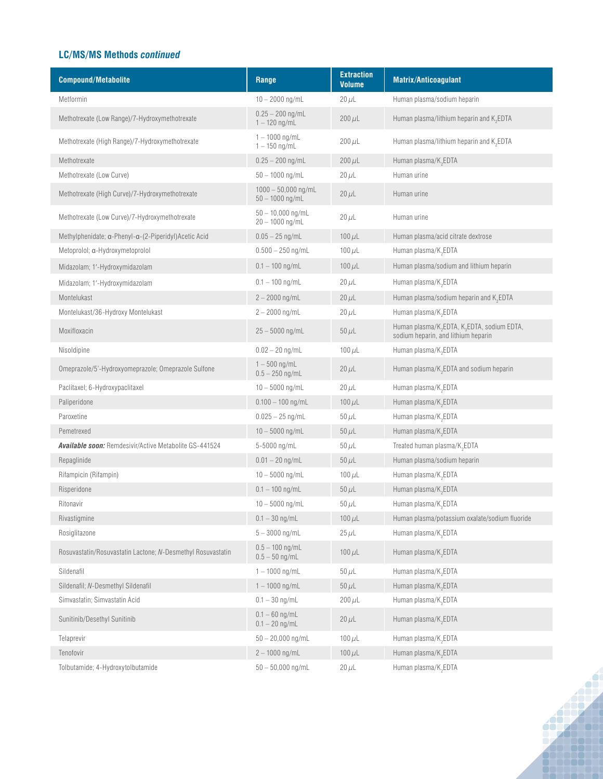#### **LC/MS/MS Methods** *continued*

| <b>Compound/Metabolite</b>                                    | Range                                      | <b>Extraction</b><br><b>Volume</b> | Matrix/Anticoagulant                                                                                       |
|---------------------------------------------------------------|--------------------------------------------|------------------------------------|------------------------------------------------------------------------------------------------------------|
| Metformin                                                     | $10 - 2000$ ng/mL                          | $20 \mu L$                         | Human plasma/sodium heparin                                                                                |
| Methotrexate (Low Range)/7-Hydroxymethotrexate                | $0.25 - 200$ ng/mL<br>$1 - 120$ ng/mL      | $200 \mu L$                        | Human plasma/lithium heparin and $K$ <sub>2</sub> EDTA                                                     |
| Methotrexate (High Range)/7-Hydroxymethotrexate               | $1 - 1000$ ng/mL<br>$1 - 150$ ng/mL        | $200 \mu L$                        | Human plasma/lithium heparin and K <sub>2</sub> EDTA                                                       |
| Methotrexate                                                  | $0.25 - 200$ ng/mL                         | $200 \mu L$                        | Human plasma/K <sub>2</sub> EDTA                                                                           |
| Methotrexate (Low Curve)                                      | $50 - 1000$ ng/mL                          | $20 \mu L$                         | Human urine                                                                                                |
| Methotrexate (High Curve)/7-Hydroxymethotrexate               | $1000 - 50,000$ ng/mL<br>$50 - 1000$ ng/mL | $20 \mu L$                         | Human urine                                                                                                |
| Methotrexate (Low Curve)/7-Hydroxymethotrexate                | $50 - 10,000$ ng/mL<br>$20 - 1000$ ng/mL   | $20 \mu L$                         | Human urine                                                                                                |
| Methylphenidate; α-Phenyl-α-(2-Piperidyl) Acetic Acid         | $0.05 - 25$ ng/mL                          | $100 \mu L$                        | Human plasma/acid citrate dextrose                                                                         |
| Metoprolol; a-Hydroxymetoprolol                               | $0.500 - 250$ ng/mL                        | $100 \mu L$                        | Human plasma/K <sub>2</sub> EDTA                                                                           |
| Midazolam; 1'-Hydroxymidazolam                                | $0.1 - 100$ ng/mL                          | $100 \mu L$                        | Human plasma/sodium and lithium heparin                                                                    |
| Midazolam; 1'-Hydroxymidazolam                                | $0.1 - 100$ ng/mL                          | $20 \mu L$                         | Human plasma/K <sub>2</sub> EDTA                                                                           |
| Montelukast                                                   | $2 - 2000$ ng/mL                           | $20 \mu L$                         | Human plasma/sodium heparin and $K$ <sub>2</sub> EDTA                                                      |
| Montelukast/36-Hydroxy Montelukast                            | $2 - 2000$ ng/mL                           | $20 \mu L$                         | Human plasma/K <sub>2</sub> EDTA                                                                           |
| Moxifloxacin                                                  | $25 - 5000$ ng/mL                          | $50 \mu L$                         | Human plasma/K <sub>2</sub> EDTA, K <sub>3</sub> EDTA, sodium EDTA,<br>sodium heparin, and lithium heparin |
| Nisoldipine                                                   | $0.02 - 20$ ng/mL                          | 100 $\mu$ L                        | Human plasma/K <sub>2</sub> EDTA                                                                           |
| Omeprazole/5'-Hydroxyomeprazole; Omeprazole Sulfone           | $1 - 500$ ng/mL<br>$0.5 - 250$ ng/mL       | $20 \mu L$                         | Human plasma/K <sub>2</sub> EDTA and sodium heparin                                                        |
| Paclitaxel; 6-Hydroxypaclitaxel                               | $10 - 5000$ ng/mL                          | $20 \mu L$                         | Human plasma/K <sub>2</sub> EDTA                                                                           |
| Paliperidone                                                  | $0.100 - 100$ ng/mL                        | $100 \mu L$                        | Human plasma/K <sub>2</sub> EDTA                                                                           |
| Paroxetine                                                    | $0.025 - 25$ ng/mL                         | $50 \mu L$                         | Human plasma/K <sub>2</sub> EDTA                                                                           |
| Pemetrexed                                                    | $10 - 5000$ ng/mL                          | $50 \mu L$                         | Human plasma/K <sub>2</sub> EDTA                                                                           |
| <b>Available soon: Remdesivir/Active Metabolite GS-441524</b> | 5-5000 ng/mL                               | $50 \mu L$                         | Treated human plasma/K <sub>2</sub> EDTA                                                                   |
| Repaglinide                                                   | $0.01 - 20$ ng/mL                          | $50 \mu L$                         | Human plasma/sodium heparin                                                                                |
| Rifampicin (Rifampin)                                         | $10 - 5000$ ng/mL                          | $100 \mu L$                        | Human plasma/K <sub>2</sub> EDTA                                                                           |
| Risperidone                                                   | $0.1 - 100$ ng/mL                          | $50 \mu L$                         | Human plasma/K <sub>2</sub> EDTA                                                                           |
| Ritonavir                                                     | $10 - 5000$ ng/mL                          | $50 \mu L$                         | Human plasma/K <sub>3</sub> EDTA                                                                           |
| Rivastigmine                                                  | $0.1 - 30$ ng/mL                           | $100 \mu L$                        | Human plasma/potassium oxalate/sodium fluoride                                                             |
| Rosiglitazone                                                 | $5 - 3000$ ng/mL                           | $25 \mu L$                         | Human plasma/K <sub>3</sub> EDTA                                                                           |
| Rosuvastatin/Rosuvastatin Lactone; N-Desmethyl Rosuvastatin   | $0.5 - 100$ ng/mL<br>$0.5 - 50$ ng/mL      | $100 \mu L$                        | Human plasma/K <sub>2</sub> EDTA                                                                           |
| Sildenafil                                                    | $1 - 1000$ ng/mL                           | $50 \mu L$                         | Human plasma/K <sub>2</sub> EDTA                                                                           |
| Sildenafil; N-Desmethyl Sildenafil                            | $1 - 1000$ ng/mL                           | $50 \mu L$                         | Human plasma/K <sub>2</sub> EDTA                                                                           |
| Simvastatin; Simvastatin Acid                                 | $0.1 - 30$ ng/mL                           | $200 \mu L$                        | Human plasma/K <sub>3</sub> EDTA                                                                           |
| Sunitinib/Desethyl Sunitinib                                  | $0.1 - 60$ ng/mL<br>$0.1 - 20$ ng/mL       | $20 \mu L$                         | Human plasma/K <sub>2</sub> EDTA                                                                           |
| Telaprevir                                                    | $50 - 20,000$ ng/mL                        | $100 \mu L$                        | Human plasma/K <sub>2</sub> EDTA                                                                           |
| Tenofovir                                                     | $2 - 1000$ ng/mL                           | $100 \mu L$                        | Human plasma/K <sub>2</sub> EDTA                                                                           |
| Tolbutamide; 4-Hydroxytolbutamide                             | $50 - 50,000$ ng/mL                        | $20 \mu L$                         | Human plasma/K <sub>2</sub> EDTA                                                                           |